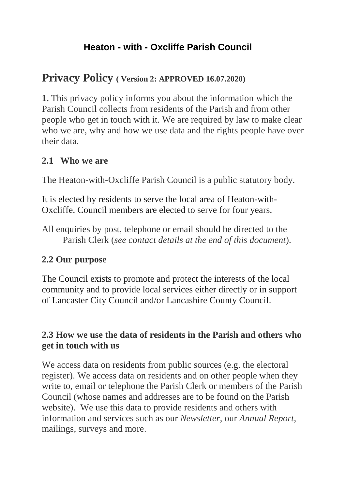## **Heaton - with - Oxcliffe Parish Council**

# **Privacy Policy ( Version 2: APPROVED 16.07.2020)**

**1.** This privacy policy informs you about the information which the Parish Council collects from residents of the Parish and from other people who get in touch with it. We are required by law to make clear who we are, why and how we use data and the rights people have over their data.

#### **2.1 Who we are**

The Heaton-with-Oxcliffe Parish Council is a public statutory body.

It is elected by residents to serve the local area of Heaton-with-Oxcliffe. Council members are elected to serve for four years.

All enquiries by post, telephone or email should be directed to the Parish Clerk (*see contact details at the end of this document*).

### **2.2 Our purpose**

The Council exists to promote and protect the interests of the local community and to provide local services either directly or in support of Lancaster City Council and/or Lancashire County Council.

#### **2.3 How we use the data of residents in the Parish and others who get in touch with us**

We access data on residents from public sources (e.g. the electoral register). We access data on residents and on other people when they write to, email or telephone the Parish Clerk or members of the Parish Council (whose names and addresses are to be found on the Parish website). We use this data to provide residents and others with information and services such as our *Newsletter*, our *Annual Report*, mailings, surveys and more.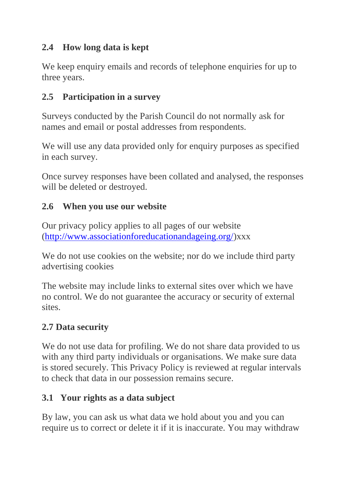## **2.4 How long data is kept**

We keep enquiry emails and records of telephone enquiries for up to three years.

### **2.5 Participation in a survey**

Surveys conducted by the Parish Council do not normally ask for names and email or postal addresses from respondents.

We will use any data provided only for enquiry purposes as specified in each survey.

Once survey responses have been collated and analysed, the responses will be deleted or destroyed.

#### **2.6 When you use our website**

Our privacy policy applies to all pages of our website [\(http://www.associationforeducationandageing.org/\)](http://www.associationforeducationandageing.org/)xxx

We do not use cookies on the website; nor do we include third party advertising cookies

The website may include links to external sites over which we have no control. We do not guarantee the accuracy or security of external sites.

### **2.7 Data security**

We do not use data for profiling. We do not share data provided to us with any third party individuals or organisations. We make sure data is stored securely. This Privacy Policy is reviewed at regular intervals to check that data in our possession remains secure.

## **3.1 Your rights as a data subject**

By law, you can ask us what data we hold about you and you can require us to correct or delete it if it is inaccurate. You may withdraw